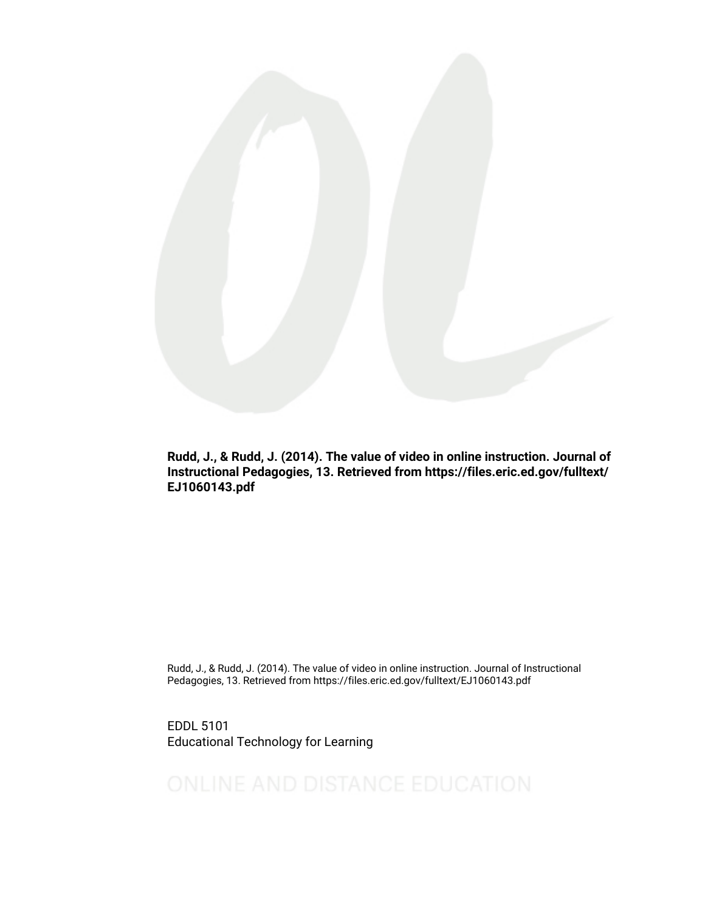

Rudd, J., & Rudd, J. (2014). The value of video in online instruction. Journal of Instructional Pedagogies, 13. Retrieved from https://files.eric.ed.gov/fulltext/ EJ1060143.pdf

Rudd, J., & Rudd, J. (2014). The value of video in online instruction. Journal of Instructional Pedagogies, 13. Retrieved from https://files.eric.ed.gov/fulltext/EJ1060143.pdf

EDDL 5101 Educational Technology for Learning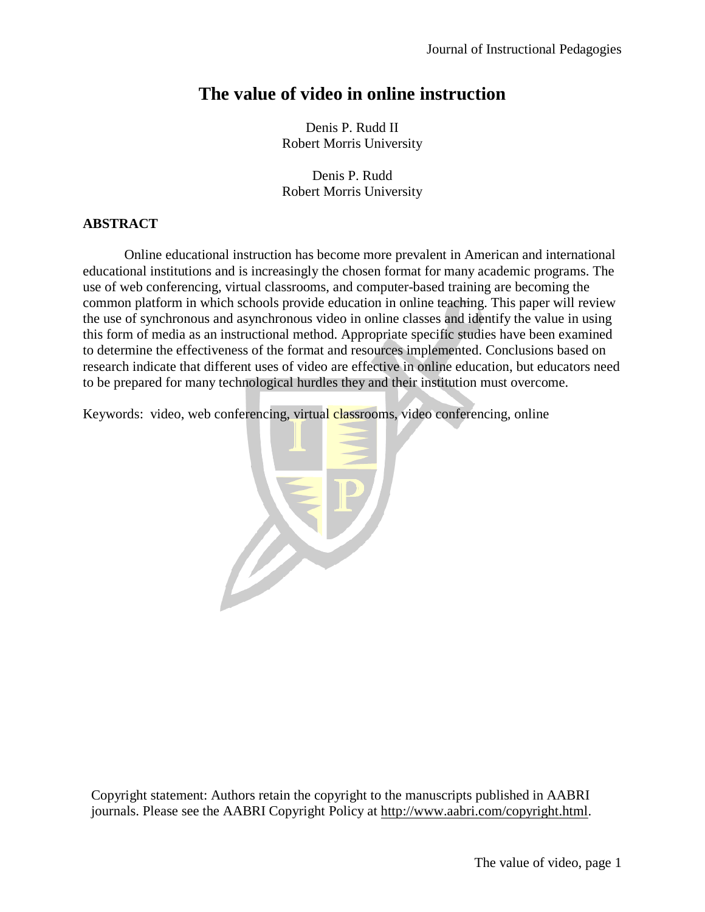# **The value of video in online instruction**

Denis P. Rudd II Robert Morris University

Denis P. Rudd Robert Morris University

# **ABSTRACT**

 Online educational instruction has become more prevalent in American and international educational institutions and is increasingly the chosen format for many academic programs. The use of web conferencing, virtual classrooms, and computer-based training are becoming the common platform in which schools provide education in online teaching. This paper will review the use of synchronous and asynchronous video in online classes and identify the value in using this form of media as an instructional method. Appropriate specific studies have been examined to determine the effectiveness of the format and resources implemented. Conclusions based on research indicate that different uses of video are effective in online education, but educators need to be prepared for many technological hurdles they and their institution must overcome.

Keywords: video, web conferencing, virtual classrooms, video conferencing, online



Copyright statement: Authors retain the copyright to the manuscripts published in AABRI journals. Please see the AABRI Copyright Policy at [http://www.aabri.com/copyright.html.](http://www.aabri.com/copyright.html)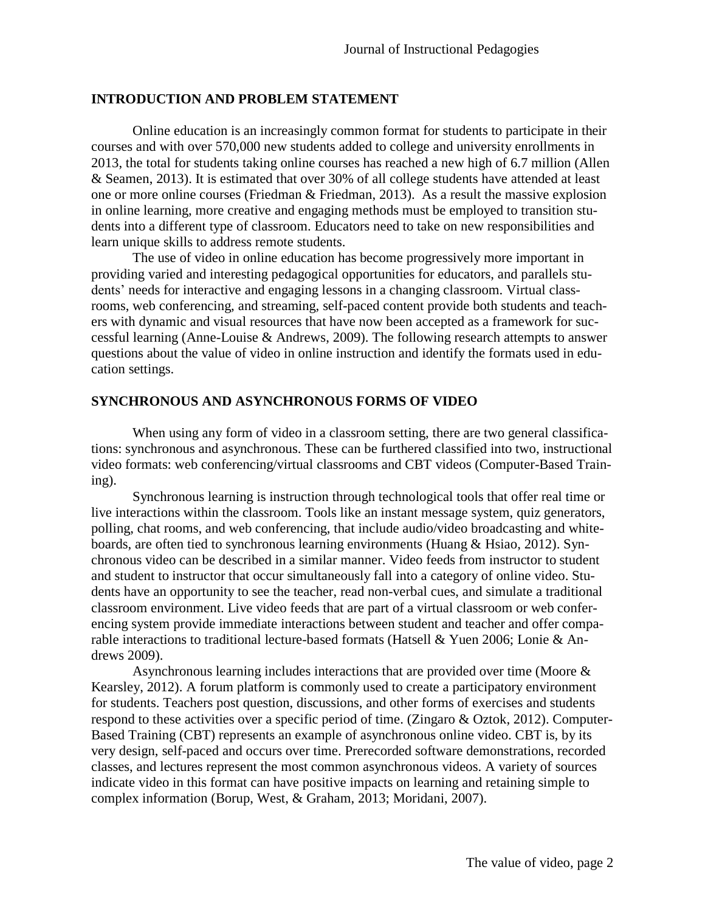#### **INTRODUCTION AND PROBLEM STATEMENT**

Online education is an increasingly common format for students to participate in their courses and with over 570,000 new students added to college and university enrollments in 2013, the total for students taking online courses has reached a new high of 6.7 million (Allen & Seamen, 2013). It is estimated that over 30% of all college students have attended at least one or more online courses (Friedman & Friedman, 2013). As a result the massive explosion in online learning, more creative and engaging methods must be employed to transition students into a different type of classroom. Educators need to take on new responsibilities and learn unique skills to address remote students.

 The use of video in online education has become progressively more important in providing varied and interesting pedagogical opportunities for educators, and parallels students' needs for interactive and engaging lessons in a changing classroom. Virtual classrooms, web conferencing, and streaming, self-paced content provide both students and teachers with dynamic and visual resources that have now been accepted as a framework for successful learning (Anne-Louise & Andrews, 2009). The following research attempts to answer questions about the value of video in online instruction and identify the formats used in education settings.

## **SYNCHRONOUS AND ASYNCHRONOUS FORMS OF VIDEO**

 When using any form of video in a classroom setting, there are two general classifications: synchronous and asynchronous. These can be furthered classified into two, instructional video formats: web conferencing/virtual classrooms and CBT videos (Computer-Based Training).

 Synchronous learning is instruction through technological tools that offer real time or live interactions within the classroom. Tools like an instant message system, quiz generators, polling, chat rooms, and web conferencing, that include audio/video broadcasting and whiteboards, are often tied to synchronous learning environments (Huang & Hsiao, 2012). Synchronous video can be described in a similar manner. Video feeds from instructor to student and student to instructor that occur simultaneously fall into a category of online video. Students have an opportunity to see the teacher, read non-verbal cues, and simulate a traditional classroom environment. Live video feeds that are part of a virtual classroom or web conferencing system provide immediate interactions between student and teacher and offer comparable interactions to traditional lecture-based formats (Hatsell & Yuen 2006; Lonie & Andrews 2009).

 Asynchronous learning includes interactions that are provided over time (Moore & Kearsley, 2012). A forum platform is commonly used to create a participatory environment for students. Teachers post question, discussions, and other forms of exercises and students respond to these activities over a specific period of time. (Zingaro & Oztok, 2012). Computer-Based Training (CBT) represents an example of asynchronous online video. CBT is, by its very design, self-paced and occurs over time. Prerecorded software demonstrations, recorded classes, and lectures represent the most common asynchronous videos. A variety of sources indicate video in this format can have positive impacts on learning and retaining simple to complex information (Borup, West, & Graham, 2013; Moridani, 2007).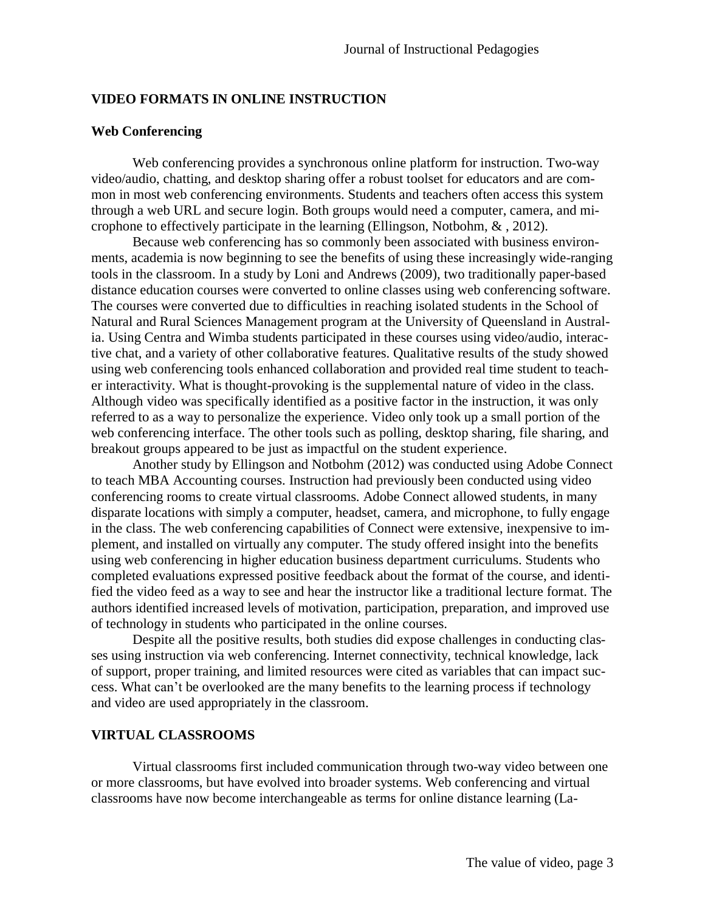## **VIDEO FORMATS IN ONLINE INSTRUCTION**

## **Web Conferencing**

 Web conferencing provides a synchronous online platform for instruction. Two-way video/audio, chatting, and desktop sharing offer a robust toolset for educators and are common in most web conferencing environments. Students and teachers often access this system through a web URL and secure login. Both groups would need a computer, camera, and microphone to effectively participate in the learning (Ellingson, Notbohm, & , 2012).

 Because web conferencing has so commonly been associated with business environments, academia is now beginning to see the benefits of using these increasingly wide-ranging tools in the classroom. In a study by Loni and Andrews (2009), two traditionally paper-based distance education courses were converted to online classes using web conferencing software. The courses were converted due to difficulties in reaching isolated students in the School of Natural and Rural Sciences Management program at the University of Queensland in Australia. Using Centra and Wimba students participated in these courses using video/audio, interactive chat, and a variety of other collaborative features. Qualitative results of the study showed using web conferencing tools enhanced collaboration and provided real time student to teacher interactivity. What is thought-provoking is the supplemental nature of video in the class. Although video was specifically identified as a positive factor in the instruction, it was only referred to as a way to personalize the experience. Video only took up a small portion of the web conferencing interface. The other tools such as polling, desktop sharing, file sharing, and breakout groups appeared to be just as impactful on the student experience.

 Another study by Ellingson and Notbohm (2012) was conducted using Adobe Connect to teach MBA Accounting courses. Instruction had previously been conducted using video conferencing rooms to create virtual classrooms. Adobe Connect allowed students, in many disparate locations with simply a computer, headset, camera, and microphone, to fully engage in the class. The web conferencing capabilities of Connect were extensive, inexpensive to implement, and installed on virtually any computer. The study offered insight into the benefits using web conferencing in higher education business department curriculums. Students who completed evaluations expressed positive feedback about the format of the course, and identified the video feed as a way to see and hear the instructor like a traditional lecture format. The authors identified increased levels of motivation, participation, preparation, and improved use of technology in students who participated in the online courses.

 Despite all the positive results, both studies did expose challenges in conducting classes using instruction via web conferencing. Internet connectivity, technical knowledge, lack of support, proper training, and limited resources were cited as variables that can impact success. What can't be overlooked are the many benefits to the learning process if technology and video are used appropriately in the classroom.

# **VIRTUAL CLASSROOMS**

Virtual classrooms first included communication through two-way video between one or more classrooms, but have evolved into broader systems. Web conferencing and virtual classrooms have now become interchangeable as terms for online distance learning (La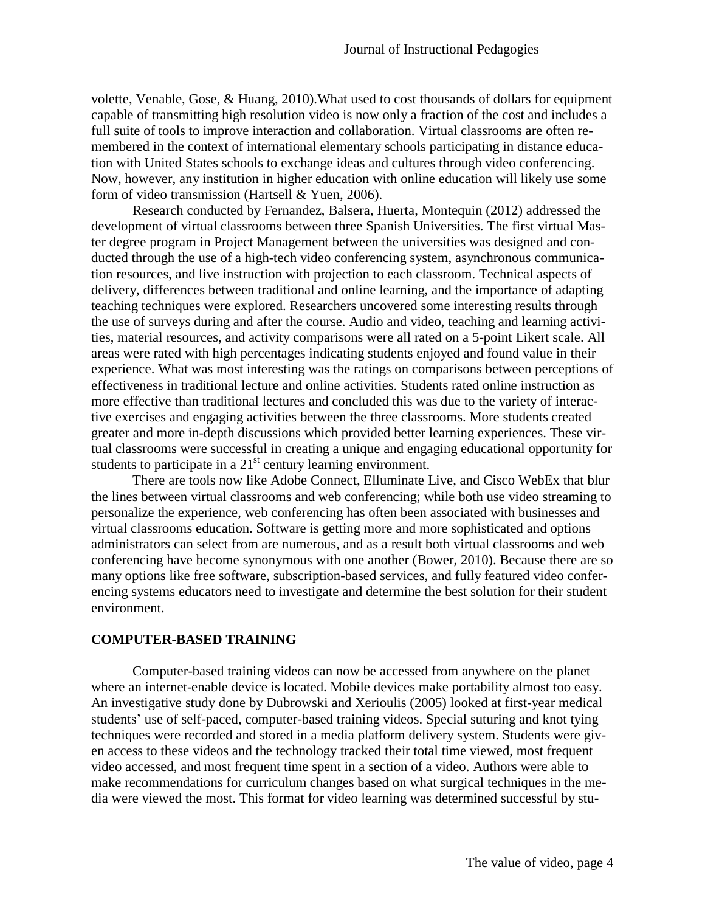volette, Venable, Gose, & Huang, 2010).What used to cost thousands of dollars for equipment capable of transmitting high resolution video is now only a fraction of the cost and includes a full suite of tools to improve interaction and collaboration. Virtual classrooms are often remembered in the context of international elementary schools participating in distance education with United States schools to exchange ideas and cultures through video conferencing. Now, however, any institution in higher education with online education will likely use some form of video transmission (Hartsell & Yuen, 2006).

 Research conducted by Fernandez, Balsera, Huerta, Montequin (2012) addressed the development of virtual classrooms between three Spanish Universities. The first virtual Master degree program in Project Management between the universities was designed and conducted through the use of a high-tech video conferencing system, asynchronous communication resources, and live instruction with projection to each classroom. Technical aspects of delivery, differences between traditional and online learning, and the importance of adapting teaching techniques were explored. Researchers uncovered some interesting results through the use of surveys during and after the course. Audio and video, teaching and learning activities, material resources, and activity comparisons were all rated on a 5-point Likert scale. All areas were rated with high percentages indicating students enjoyed and found value in their experience. What was most interesting was the ratings on comparisons between perceptions of effectiveness in traditional lecture and online activities. Students rated online instruction as more effective than traditional lectures and concluded this was due to the variety of interactive exercises and engaging activities between the three classrooms. More students created greater and more in-depth discussions which provided better learning experiences. These virtual classrooms were successful in creating a unique and engaging educational opportunity for students to participate in a  $21<sup>st</sup>$  century learning environment.

 There are tools now like Adobe Connect, Elluminate Live, and Cisco WebEx that blur the lines between virtual classrooms and web conferencing; while both use video streaming to personalize the experience, web conferencing has often been associated with businesses and virtual classrooms education. Software is getting more and more sophisticated and options administrators can select from are numerous, and as a result both virtual classrooms and web conferencing have become synonymous with one another (Bower, 2010). Because there are so many options like free software, subscription-based services, and fully featured video conferencing systems educators need to investigate and determine the best solution for their student environment.

## **COMPUTER-BASED TRAINING**

Computer-based training videos can now be accessed from anywhere on the planet where an internet-enable device is located. Mobile devices make portability almost too easy. An investigative study done by Dubrowski and Xerioulis (2005) looked at first-year medical students' use of self-paced, computer-based training videos. Special suturing and knot tying techniques were recorded and stored in a media platform delivery system. Students were given access to these videos and the technology tracked their total time viewed, most frequent video accessed, and most frequent time spent in a section of a video. Authors were able to make recommendations for curriculum changes based on what surgical techniques in the media were viewed the most. This format for video learning was determined successful by stu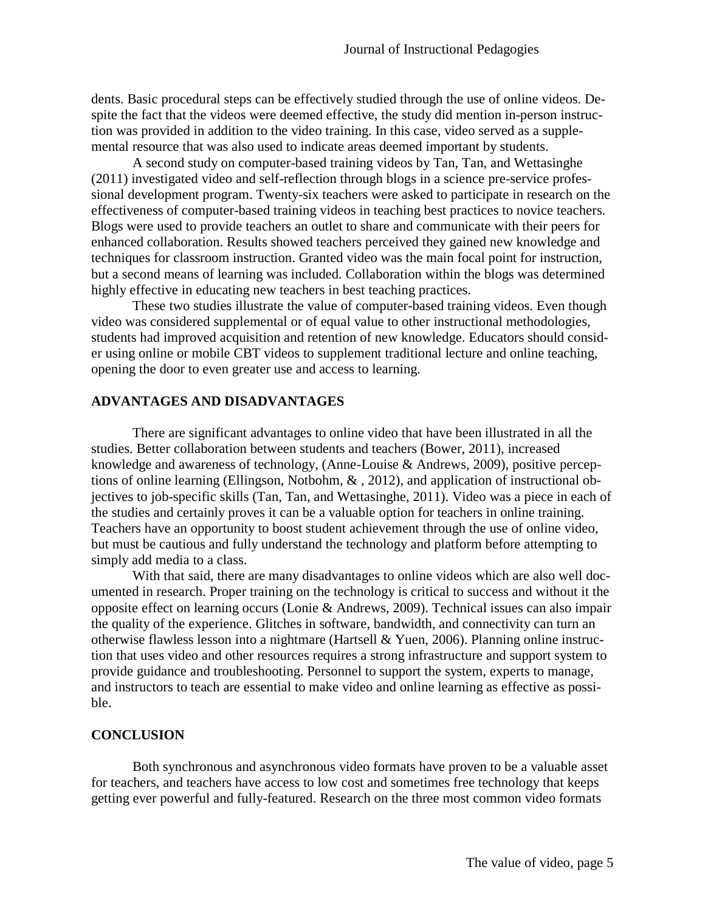dents. Basic procedural steps can be effectively studied through the use of online videos. Despite the fact that the videos were deemed effective, the study did mention in-person instruction was provided in addition to the video training. In this case, video served as a supplemental resource that was also used to indicate areas deemed important by students.

 A second study on computer-based training videos by Tan, Tan, and Wettasinghe (2011) investigated video and self-reflection through blogs in a science pre-service professional development program. Twenty-six teachers were asked to participate in research on the effectiveness of computer-based training videos in teaching best practices to novice teachers. Blogs were used to provide teachers an outlet to share and communicate with their peers for enhanced collaboration. Results showed teachers perceived they gained new knowledge and techniques for classroom instruction. Granted video was the main focal point for instruction, but a second means of learning was included. Collaboration within the blogs was determined highly effective in educating new teachers in best teaching practices.

 These two studies illustrate the value of computer-based training videos. Even though video was considered supplemental or of equal value to other instructional methodologies, students had improved acquisition and retention of new knowledge. Educators should consider using online or mobile CBT videos to supplement traditional lecture and online teaching, opening the door to even greater use and access to learning.

## **ADVANTAGES AND DISADVANTAGES**

 There are significant advantages to online video that have been illustrated in all the studies. Better collaboration between students and teachers (Bower, 2011), increased knowledge and awareness of technology, (Anne-Louise & Andrews, 2009), positive perceptions of online learning (Ellingson, Notbohm, & , 2012), and application of instructional objectives to job-specific skills (Tan, Tan, and Wettasinghe, 2011). Video was a piece in each of the studies and certainly proves it can be a valuable option for teachers in online training. Teachers have an opportunity to boost student achievement through the use of online video, but must be cautious and fully understand the technology and platform before attempting to simply add media to a class.

 With that said, there are many disadvantages to online videos which are also well documented in research. Proper training on the technology is critical to success and without it the opposite effect on learning occurs (Lonie & Andrews, 2009). Technical issues can also impair the quality of the experience. Glitches in software, bandwidth, and connectivity can turn an otherwise flawless lesson into a nightmare (Hartsell & Yuen, 2006). Planning online instruction that uses video and other resources requires a strong infrastructure and support system to provide guidance and troubleshooting. Personnel to support the system, experts to manage, and instructors to teach are essential to make video and online learning as effective as possible.

## **CONCLUSION**

 Both synchronous and asynchronous video formats have proven to be a valuable asset for teachers, and teachers have access to low cost and sometimes free technology that keeps getting ever powerful and fully-featured. Research on the three most common video formats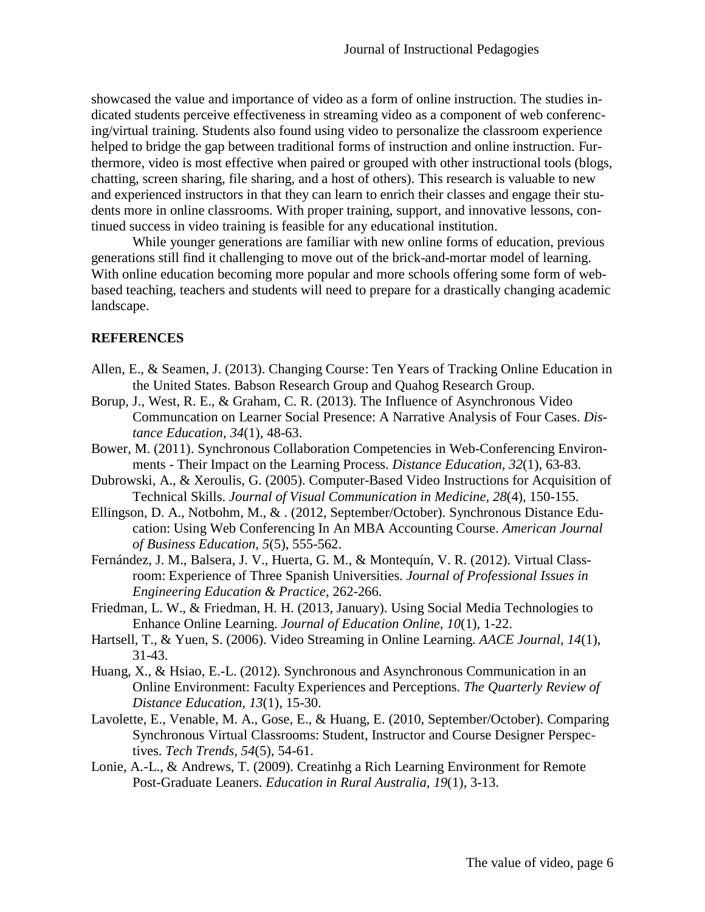showcased the value and importance of video as a form of online instruction. The studies indicated students perceive effectiveness in streaming video as a component of web conferencing/virtual training. Students also found using video to personalize the classroom experience helped to bridge the gap between traditional forms of instruction and online instruction. Furthermore, video is most effective when paired or grouped with other instructional tools (blogs, chatting, screen sharing, file sharing, and a host of others). This research is valuable to new and experienced instructors in that they can learn to enrich their classes and engage their students more in online classrooms. With proper training, support, and innovative lessons, continued success in video training is feasible for any educational institution.

 While younger generations are familiar with new online forms of education, previous generations still find it challenging to move out of the brick-and-mortar model of learning. With online education becoming more popular and more schools offering some form of webbased teaching, teachers and students will need to prepare for a drastically changing academic landscape.

## **REFERENCES**

- Allen, E., & Seamen, J. (2013). Changing Course: Ten Years of Tracking Online Education in the United States. Babson Research Group and Quahog Research Group.
- Borup, J., West, R. E., & Graham, C. R. (2013). The Influence of Asynchronous Video Communcation on Learner Social Presence: A Narrative Analysis of Four Cases. *Distance Education, 34*(1), 48-63.
- Bower, M. (2011). Synchronous Collaboration Competencies in Web-Conferencing Environments - Their Impact on the Learning Process. *Distance Education, 32*(1), 63-83.
- Dubrowski, A., & Xeroulis, G. (2005). Computer-Based Video Instructions for Acquisition of Technical Skills. *Journal of Visual Communication in Medicine, 28*(4), 150-155.
- Ellingson, D. A., Notbohm, M., & . (2012, September/October). Synchronous Distance Education: Using Web Conferencing In An MBA Accounting Course. *American Journal of Business Education, 5*(5), 555-562.
- Fernández, J. M., Balsera, J. V., Huerta, G. M., & Montequín, V. R. (2012). Virtual Classroom: Experience of Three Spanish Universities. *Journal of Professional Issues in Engineering Education & Practice*, 262-266.
- Friedman, L. W., & Friedman, H. H. (2013, January). Using Social Media Technologies to Enhance Online Learning. *Journal of Education Online, 10*(1), 1-22.
- Hartsell, T., & Yuen, S. (2006). Video Streaming in Online Learning. *AACE Journal, 14*(1), 31-43.
- Huang, X., & Hsiao, E.-L. (2012). Synchronous and Asynchronous Communication in an Online Environment: Faculty Experiences and Perceptions. *The Quarterly Review of Distance Education, 13*(1), 15-30.
- Lavolette, E., Venable, M. A., Gose, E., & Huang, E. (2010, September/October). Comparing Synchronous Virtual Classrooms: Student, Instructor and Course Designer Perspectives. *Tech Trends, 54*(5), 54-61.
- Lonie, A.-L., & Andrews, T. (2009). Creatinhg a Rich Learning Environment for Remote Post-Graduate Leaners. *Education in Rural Australia, 19*(1), 3-13.